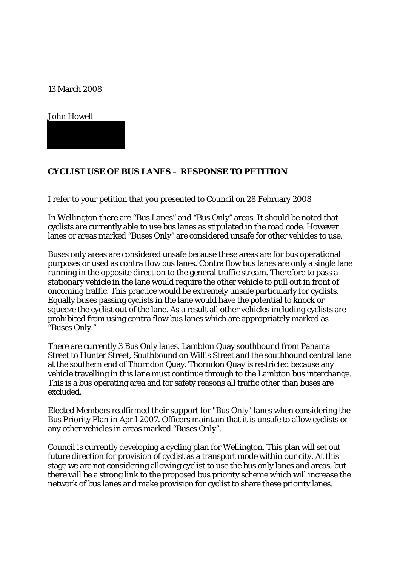13 March 2008

John Howell

## **CYCLIST USE OF BUS LANES – RESPONSE TO PETITION**

I refer to your petition that you presented to Council on 28 February 2008

In Wellington there are "Bus Lanes" and "Bus Only" areas. It should be noted that cyclists are currently able to use bus lanes as stipulated in the road code. However lanes or areas marked "Buses Only" are considered unsafe for other vehicles to use.

Buses only areas are considered unsafe because these areas are for bus operational purposes or used as contra flow bus lanes. Contra flow bus lanes are only a single lane running in the opposite direction to the general traffic stream. Therefore to pass a stationary vehicle in the lane would require the other vehicle to pull out in front of oncoming traffic. This practice would be extremely unsafe particularly for cyclists. Equally buses passing cyclists in the lane would have the potential to knock or squeeze the cyclist out of the lane. As a result all other vehicles including cyclists are prohibited from using contra flow bus lanes which are appropriately marked as "Buses Only."

There are currently 3 Bus Only lanes. Lambton Quay southbound from Panama Street to Hunter Street, Southbound on Willis Street and the southbound central lane at the southern end of Thorndon Quay. Thorndon Quay is restricted because any vehicle travelling in this lane must continue through to the Lambton bus interchange. This is a bus operating area and for safety reasons all traffic other than buses are excluded.

Elected Members reaffirmed their support for "Bus Only" lanes when considering the Bus Priority Plan in April 2007. Officers maintain that it is unsafe to allow cyclists or any other vehicles in areas marked "Buses Only".

Council is currently developing a cycling plan for Wellington. This plan will set out future direction for provision of cyclist as a transport mode within our city. At this stage we are not considering allowing cyclist to use the bus only lanes and areas, but there will be a strong link to the proposed bus priority scheme which will increase the network of bus lanes and make provision for cyclist to share these priority lanes.